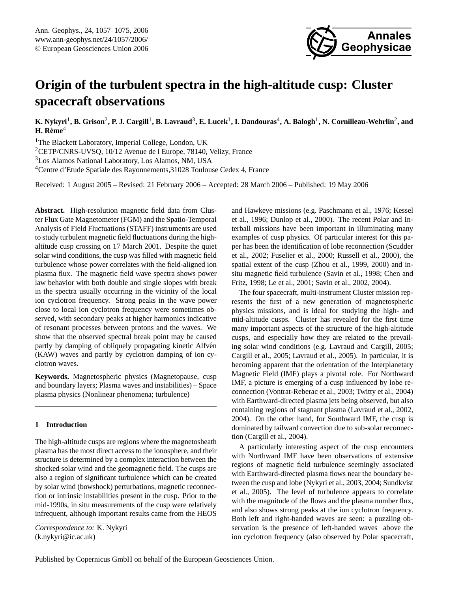# **Origin of the turbulent spectra in the high-altitude cusp: Cluster spacecraft observations**

 $K$ . Nykyri<sup>1</sup>, B. Grison<sup>2</sup>, P. J. Cargill<sup>1</sup>, B. Lavraud<sup>3</sup>, E. Lucek<sup>1</sup>, I. Dandouras<sup>4</sup>, A. Balogh<sup>1</sup>, N. Cornilleau-Wehrlin<sup>2</sup>, and  $H$ **.** Rème<sup>4</sup>

<sup>1</sup>The Blackett Laboratory, Imperial College, London, UK CETP/CNRS-UVSQ, 10/12 Avenue de l Europe, 78140, Velizy, France Los Alamos National Laboratory, Los Alamos, NM, USA Centre d'Etude Spatiale des Rayonnements,31028 Toulouse Cedex 4, France

Received: 1 August 2005 – Revised: 21 February 2006 – Accepted: 28 March 2006 – Published: 19 May 2006

**Abstract.** High-resolution magnetic field data from Cluster Flux Gate Magnetometer (FGM) and the Spatio-Temporal Analysis of Field Fluctuations (STAFF) instruments are used to study turbulent magnetic field fluctuations during the highaltitude cusp crossing on 17 March 2001. Despite the quiet solar wind conditions, the cusp was filled with magnetic field turbulence whose power correlates with the field-aligned ion plasma flux. The magnetic field wave spectra shows power law behavior with both double and single slopes with break in the spectra usually occurring in the vicinity of the local ion cyclotron frequency. Strong peaks in the wave power close to local ion cyclotron frequency were sometimes observed, with secondary peaks at higher harmonics indicative of resonant processes between protons and the waves. We show that the observed spectral break point may be caused partly by damping of obliquely propagating kinetic Alfvén (KAW) waves and partly by cyclotron damping of ion cyclotron waves.

**Keywords.** Magnetospheric physics (Magnetopause, cusp and boundary layers; Plasma waves and instabilities) – Space plasma physics (Nonlinear phenomena; turbulence)

# **1 Introduction**

The high-altitude cusps are regions where the magnetosheath plasma has the most direct access to the ionosphere, and their structure is determined by a complex interaction between the shocked solar wind and the geomagnetic field. The cusps are also a region of significant turbulence which can be created by solar wind (bowshock) perturbations, magnetic reconnection or intrinsic instabilities present in the cusp. Prior to the mid-1990s, in situ measurements of the cusp were relatively infrequent, although important results came from the HEOS

*Correspondence to:* K. Nykyri (k.nykyri@ic.ac.uk)

and Hawkeye missions (e.g. Paschmann et al., 1976; Kessel et al., 1996; Dunlop et al., 2000). The recent Polar and Interball missions have been important in illuminating many examples of cusp physics. Of particular interest for this paper has been the identification of lobe reconnection (Scudder et al., 2002; Fuselier et al., 2000; Russell et al., 2000), the spatial extent of the cusp (Zhou et al., 1999, 2000) and insitu magnetic field turbulence (Savin et al., 1998; Chen and Fritz, 1998; Le et al., 2001; Savin et al., 2002, 2004).

**Annales**

**Geophysicae**

The four spacecraft, multi-instrument Cluster mission represents the first of a new generation of magnetospheric physics missions, and is ideal for studying the high- and mid-altitude cusps. Cluster has revealed for the first time many important aspects of the structure of the high-altitude cusps, and especially how they are related to the prevailing solar wind conditions (e.g. Lavraud and Cargill, 2005; Cargill et al., 2005; Lavraud et al., 2005). In particular, it is becoming apparent that the orientation of the Interplanetary Magnetic Field (IMF) plays a pivotal role. For Northward IMF, a picture is emerging of a cusp influenced by lobe reconnection (Vontrat-Reberac et al., 2003; Twitty et al., 2004) with Earthward-directed plasma jets being observed, but also containing regions of stagnant plasma (Lavraud et al., 2002, 2004). On the other hand, for Southward IMF, the cusp is dominated by tailward convection due to sub-solar reconnection (Cargill et al., 2004).

A particularly interesting aspect of the cusp encounters with Northward IMF have been observations of extensive regions of magnetic field turbulence seemingly associated with Earthward-directed plasma flows near the boundary between the cusp and lobe (Nykyri et al., 2003, 2004; Sundkvist et al., 2005). The level of turbulence appears to correlate with the magnitude of the flows and the plasma number flux, and also shows strong peaks at the ion cyclotron frequency. Both left and right-handed waves are seen: a puzzling observation is the presence of left-handed waves above the ion cyclotron frequency (also observed by Polar spacecraft,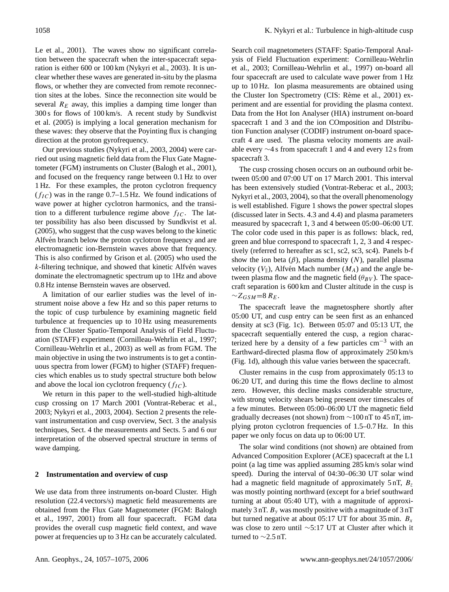Le et al., 2001). The waves show no significant correlation between the spacecraft when the inter-spacecraft separation is either 600 or 100 km (Nykyri et al., 2003). It is unclear whether these waves are generated in-situ by the plasma flows, or whether they are convected from remote reconnection sites at the lobes. Since the reconnection site would be several  $R_E$  away, this implies a damping time longer than 300 s for flows of 100 km/s. A recent study by Sundkvist et al. (2005) is implying a local generation mechanism for these waves: they observe that the Poyinting flux is changing direction at the proton gyrofrequency.

Our previous studies (Nykyri et al., 2003, 2004) were carried out using magnetic field data from the Flux Gate Magnetometer (FGM) instruments on Cluster (Balogh et al., 2001), and focused on the frequency range between 0.1 Hz to over 1 Hz. For these examples, the proton cyclotron frequency  $(f_{IC})$  was in the range 0.7–1.5 Hz. We found indications of wave power at higher cyclotron harmonics, and the transition to a different turbulence regime above  $f_{IC}$ . The latter possibility has also been discussed by Sundkvist et al. (2005), who suggest that the cusp waves belong to the kinetic Alfvén branch below the proton cyclotron frequency and are electromagnetic ion-Bernstein waves above that frequency. This is also confirmed by Grison et al. (2005) who used the  $k$ -filtering technique, and showed that kinetic Alfvén waves dominate the electromagnetic spectrum up to 1Hz and above 0.8 Hz intense Bernstein waves are observed.

A limitation of our earlier studies was the level of instrument noise above a few Hz and so this paper returns to the topic of cusp turbulence by examining magnetic field turbulence at frequencies up to 10 Hz using measurements from the Cluster Spatio-Temporal Analysis of Field Fluctuation (STAFF) experiment (Cornilleau-Wehrlin et al., 1997; Cornilleau-Wehrlin et al., 2003) as well as from FGM. The main objective in using the two instruments is to get a continuous spectra from lower (FGM) to higher (STAFF) frequencies which enables us to study spectral structure both below and above the local ion cyclotron frequency  $(f_{IC})$ .

We return in this paper to the well-studied high-altitude cusp crossing on 17 March 2001 (Vontrat-Reberac et al., 2003; Nykyri et al., 2003, 2004). Section 2 presents the relevant instrumentation and cusp overview, Sect. 3 the analysis techniques, Sect. 4 the measurements and Sects. 5 and 6 our interpretation of the observed spectral structure in terms of wave damping.

## **2 Instrumentation and overview of cusp**

We use data from three instruments on-board Cluster. High resolution (22.4 vectors/s) magnetic field measurements are obtained from the Flux Gate Magnetometer (FGM: Balogh et al., 1997, 2001) from all four spacecraft. FGM data provides the overall cusp magnetic field context, and wave power at frequencies up to 3 Hz can be accurately calculated. Search coil magnetometers (STAFF: Spatio-Temporal Analysis of Field Fluctuation experiment: Cornilleau-Wehrlin et al., 2003; Cornilleau-Wehrlin et al., 1997) on-board all four spacecraft are used to calculate wave power from 1 Hz up to 10 Hz. Ion plasma measurements are obtained using the Cluster Ion Spectrometry (CIS: Rème et al., 2001) experiment and are essential for providing the plasma context. Data from the Hot Ion Analyser (HIA) instrument on-board spacecraft 1 and 3 and the ion COmposition and DIstribution Function analyser (CODIF) instrument on-board spacecraft 4 are used. The plasma velocity moments are available every ∼4 s from spacecraft 1 and 4 and every 12 s from spacecraft 3.

The cusp crossing chosen occurs on an outbound orbit between 05:00 and 07:00 UT on 17 March 2001. This interval has been extensively studied (Vontrat-Reberac et al., 2003; Nykyri et al., 2003, 2004), so that the overall phenomenology is well established. Figure 1 shows the power spectral slopes (discussed later in Sects. 4.3 and 4.4) and plasma parameters measured by spacecraft 1, 3 and 4 between 05:00–06:00 UT. The color code used in this paper is as follows: black, red, green and blue correspond to spacecraft 1, 2, 3 and 4 respectively (referred to hereafter as sc1, sc2, sc3, sc4). Panels b-f show the ion beta  $(\beta)$ , plasma density  $(N)$ , parallel plasma velocity  $(V_{\parallel})$ , Alfvén Mach number  $(M_A)$  and the angle between plasma flow and the magnetic field  $(\theta_{BV})$ . The spacecraft separation is 600 km and Cluster altitude in the cusp is  $\sim$ Z<sub>GSM</sub>=8 R<sub>E</sub>.

The spacecraft leave the magnetosphere shortly after 05:00 UT, and cusp entry can be seen first as an enhanced density at sc3 (Fig. 1c). Between 05:07 and 05:13 UT, the spacecraft sequentially entered the cusp, a region characterized here by a density of a few particles cm−<sup>3</sup> with an Earthward-directed plasma flow of approximately 250 km/s (Fig. 1d), although this value varies between the spacecraft.

Cluster remains in the cusp from approximately 05:13 to 06:20 UT, and during this time the flows decline to almost zero. However, this decline masks considerable structure, with strong velocity shears being present over timescales of a few minutes. Between 05:00–06:00 UT the magnetic field gradually decreases (not shown) from  $\sim$ 100 nT to 45 nT, implying proton cyclotron frequencies of 1.5–0.7 Hz. In this paper we only focus on data up to 06:00 UT.

The solar wind conditions (not shown) are obtained from Advanced Composition Explorer (ACE) spacecraft at the L1 point (a lag time was applied assuming 285 km/s solar wind speed). During the interval of 04:30–06:30 UT solar wind had a magnetic field magnitude of approximately 5 nT,  $B_z$ was mostly pointing northward (except for a brief southward turning at about 05:40 UT), with a magnitude of approximately 3 nT.  $B_y$  was mostly positive with a magnitude of 3 nT but turned negative at about 05:17 UT for about 35 min.  $B_x$ was close to zero until ∼5:17 UT at Cluster after which it turned to  $\sim$ 2.5 nT.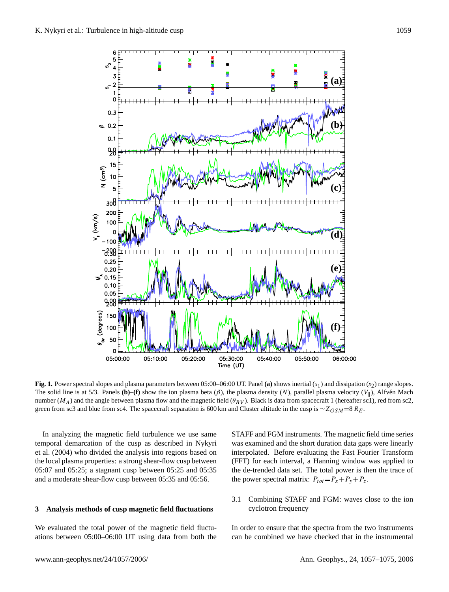

**Fig. 1.** Power spectral slopes and plasma parameters between 05:00–06:00 UT. Panel (a) shows inertial  $(s_1)$  and dissipation  $(s_2)$  range slopes. The solid line is at 5/3. Panels **(b)–(f)** show the ion plasma beta  $(\beta)$ , the plasma density  $(N)$ , parallel plasma velocity  $(V_{\parallel})$ , Alfvén Mach number ( $M_A$ ) and the angle between plasma flow and the magnetic field ( $\theta_{BV}$ ). Black is data from spacecraft 1 (hereafter sc1), red from sc2, green from sc3 and blue from sc4. The spacecraft separation is 600 km and Cluster altitude in the cusp is  $\sim Z_{GSM}=8 R_E$ .

In analyzing the magnetic field turbulence we use same temporal demarcation of the cusp as described in Nykyri et al. (2004) who divided the analysis into regions based on the local plasma properties: a strong shear-flow cusp between 05:07 and 05:25; a stagnant cusp between 05:25 and 05:35 and a moderate shear-flow cusp between 05:35 and 05:56.

## **3 Analysis methods of cusp magnetic field fluctuations**

We evaluated the total power of the magnetic field fluctuations between 05:00–06:00 UT using data from both the STAFF and FGM instruments. The magnetic field time series was examined and the short duration data gaps were linearly interpolated. Before evaluating the Fast Fourier Transform (FFT) for each interval, a Hanning window was applied to the de-trended data set. The total power is then the trace of the power spectral matrix:  $P_{tot} = P_x + P_y + P_z$ .

3.1 Combining STAFF and FGM: waves close to the ion cyclotron frequency

In order to ensure that the spectra from the two instruments can be combined we have checked that in the instrumental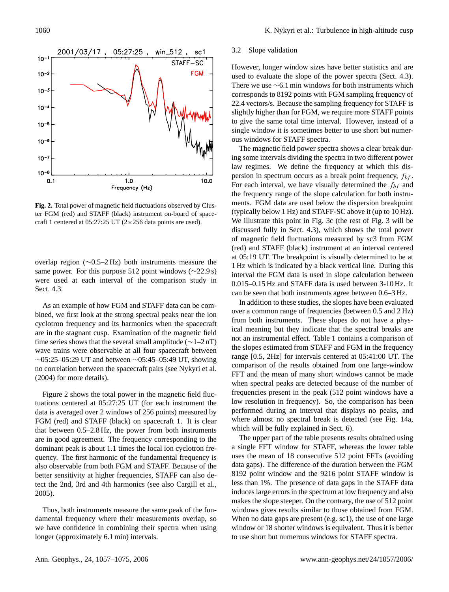

**Fig. 2.** Total power of magnetic field fluctuations observed by Cluster FGM (red) and STAFF (black) instrument on-board of spacecraft 1 centered at  $05:27:25$  UT ( $2\times256$  data points are used).

overlap region (∼0.5–2 Hz) both instruments measure the same power. For this purpose 512 point windows (∼22.9 s) were used at each interval of the comparison study in Sect. 4.3.

As an example of how FGM and STAFF data can be combined, we first look at the strong spectral peaks near the ion cyclotron frequency and its harmonics when the spacecraft are in the stagnant cusp. Examination of the magnetic field time series shows that the several small amplitude (∼1–2 nT) wave trains were observable at all four spacecraft between ∼05:25–05:29 UT and between ∼05:45–05:49 UT, showing no correlation between the spacecraft pairs (see Nykyri et al. (2004) for more details).

Figure 2 shows the total power in the magnetic field fluctuations centered at 05:27:25 UT (for each instrument the data is averaged over 2 windows of 256 points) measured by FGM (red) and STAFF (black) on spacecraft 1. It is clear that between 0.5–2.8 Hz, the power from both instruments are in good agreement. The frequency corresponding to the dominant peak is about 1.1 times the local ion cyclotron frequency. The first harmonic of the fundamental frequency is also observable from both FGM and STAFF. Because of the better sensitivity at higher frequencies, STAFF can also detect the 2nd, 3rd and 4th harmonics (see also Cargill et al., 2005).

Thus, both instruments measure the same peak of the fundamental frequency where their measurements overlap, so we have confidence in combining their spectra when using longer (approximately 6.1 min) intervals.

## 3.2 Slope validation

However, longer window sizes have better statistics and are used to evaluate the slope of the power spectra (Sect. 4.3). There we use ∼6.1 min windows for both instruments which corresponds to 8192 points with FGM sampling frequency of 22.4 vectors/s. Because the sampling frequency for STAFF is slightly higher than for FGM, we require more STAFF points to give the same total time interval. However, instead of a single window it is sometimes better to use short but numerous windows for STAFF spectra.

The magnetic field power spectra shows a clear break during some intervals dividing the spectra in two different power law regimes. We define the frequency at which this dispersion in spectrum occurs as a break point frequency,  $f_{bf}$ . For each interval, we have visually determined the  $f_{bf}$  and the frequency range of the slope calculation for both instruments. FGM data are used below the dispersion breakpoint (typically below 1 Hz) and STAFF-SC above it (up to 10 Hz). We illustrate this point in Fig. 3c (the rest of Fig. 3 will be discussed fully in Sect. 4.3), which shows the total power of magnetic field fluctuations measured by sc3 from FGM (red) and STAFF (black) instrument at an interval centered at 05:19 UT. The breakpoint is visually determined to be at 1 Hz which is indicated by a black vertical line. During this interval the FGM data is used in slope calculation between 0.015–0.15 Hz and STAFF data is used between 3-10 Hz. It can be seen that both instruments agree between 0.6–3 Hz.

In addition to these studies, the slopes have been evaluated over a common range of frequencies (between 0.5 and 2 Hz) from both instruments. These slopes do not have a physical meaning but they indicate that the spectral breaks are not an instrumental effect. Table 1 contains a comparison of the slopes estimated from STAFF and FGM in the frequency range [0.5, 2Hz] for intervals centered at 05:41:00 UT. The comparison of the results obtained from one large-window FFT and the mean of many short windows cannot be made when spectral peaks are detected because of the number of frequencies present in the peak (512 point windows have a low resolution in frequency). So, the comparison has been performed during an interval that displays no peaks, and where almost no spectral break is detected (see Fig. 14a, which will be fully explained in Sect. 6).

The upper part of the table presents results obtained using a single FFT window for STAFF, whereas the lower table uses the mean of 18 consecutive 512 point FFTs (avoiding data gaps). The difference of the duration between the FGM 8192 point window and the 9216 point STAFF window is less than 1%. The presence of data gaps in the STAFF data induces large errors in the spectrum at low frequency and also makes the slope steeper. On the contrary, the use of 512 point windows gives results similar to those obtained from FGM. When no data gaps are present (e.g. sc1), the use of one large window or 18 shorter windows is equivalent. Thus it is better to use short but numerous windows for STAFF spectra.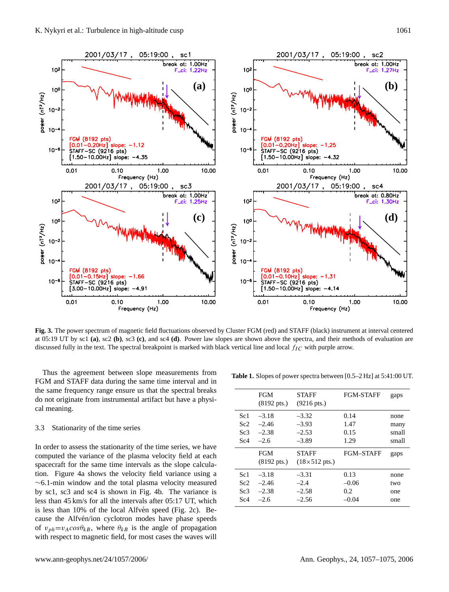

**Fig. 3.** The power spectrum of magnetic field fluctuations observed by Cluster FGM (red) and STAFF (black) instrument at interval centered at 05:19 UT by sc1 **(a)**, sc2 **(b)**, sc3 **(c)**, and sc4 **(d)**. Power law slopes are shown above the spectra, and their methods of evaluation are discussed fully in the text. The spectral breakpoint is marked with black vertical line and local  $f_{IC}$  with purple arrow.

Thus the agreement between slope measurements from FGM and STAFF data during the same time interval and in the same frequency range ensure us that the spectral breaks do not originate from instrumental artifact but have a physical meaning.

## 3.3 Stationarity of the time series

In order to assess the stationarity of the time series, we have computed the variance of the plasma velocity field at each spacecraft for the same time intervals as the slope calculation. Figure 4a shows the velocity field variance using a ∼6.1-min window and the total plasma velocity measured by sc1, sc3 and sc4 is shown in Fig. 4b. The variance is less than 45 km/s for all the intervals after 05:17 UT, which is less than  $10\%$  of the local Alfvén speed (Fig. 2c). Because the Alfvén/ion cyclotron modes have phase speeds of  $v_{ph} = v_A cos \theta_{kB}$ , where  $\theta_{kB}$  is the angle of propagation with respect to magnetic field, for most cases the waves will

**Table 1.** Slopes of power spectra between [0.5–2 Hz] at 5:41:00 UT.

|                 | <b>FGM</b>            | <b>STAFF</b>                 | <b>FGM-STAFF</b> | gaps  |
|-----------------|-----------------------|------------------------------|------------------|-------|
|                 | $(8192 \text{ pts.})$ | $(9216 \text{ pts.})$        |                  |       |
| Sc <sub>1</sub> | $-3.18$               | $-3.32$                      | 0.14             | none  |
| Sc2             | $-2.46$               | $-3.93$                      | 1.47             | many  |
| Sc <sub>3</sub> | $-2.38$               | $-2.53$                      | 0.15             | small |
| Sc <sub>4</sub> | $-2.6$                | $-3.89$                      | 1.29             | small |
|                 |                       |                              |                  |       |
|                 | <b>FGM</b>            | <b>STAFF</b>                 | <b>FGM-STAFF</b> | gaps  |
|                 | $(8192 \text{ pts.})$ | $(18\times512 \text{ pts.})$ |                  |       |
| Sc <sub>1</sub> | $-3.18$               | $-3.31$                      | 0.13             | none  |
| Sc2             | $-2.46$               | $-2.4$                       | $-0.06$          | two   |
| Sc <sub>3</sub> | $-2.38$               | $-2.58$                      | 0.2              | one   |
| Sc <sub>4</sub> | $-2.6$                | $-2.56$                      | $-0.04$          | one   |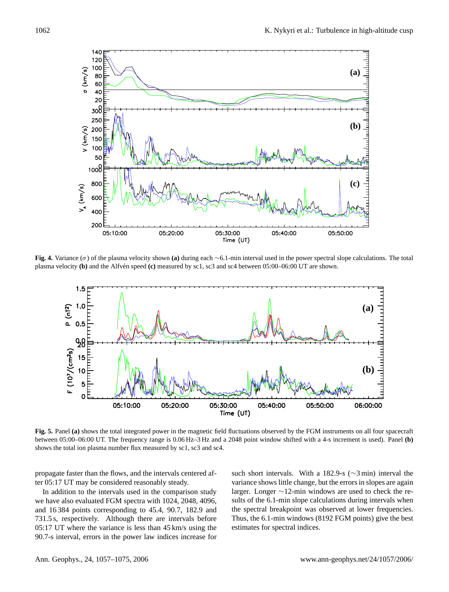

**Fig. 4.** Variance (σ) of the plasma velocity shown **(a)** during each ∼6.1-min interval used in the power spectral slope calculations. The total plasma velocity (b) and the Alfvén speed (c) measured by sc1, sc3 and sc4 between 05:00–06:00 UT are shown.



**Fig. 5.** Panel **(a)** shows the total integrated power in the magnetic field fluctuations observed by the FGM instruments on all four spacecraft between 05:00–06:00 UT. The frequency range is 0.06 Hz–3 Hz and a 2048 point window shifted with a 4-s increment is used). Panel **(b)** shows the total ion plasma number flux measured by sc1, sc3 and sc4.

propagate faster than the flows, and the intervals centered after 05:17 UT may be considered reasonably steady.

In addition to the intervals used in the comparison study we have also evaluated FGM spectra with 1024, 2048, 4096, and 16 384 points corresponding to 45.4, 90.7, 182.9 and 731.5 s, respectively. Although there are intervals before 05:17 UT where the variance is less than 45 km/s using the 90.7-s interval, errors in the power law indices increase for such short intervals. With a 182.9-s (∼3 min) interval the variance shows little change, but the errors in slopes are again larger. Longer ∼12-min windows are used to check the results of the 6.1-min slope calculations during intervals when the spectral breakpoint was observed at lower frequencies. Thus, the 6.1-min windows (8192 FGM points) give the best estimates for spectral indices.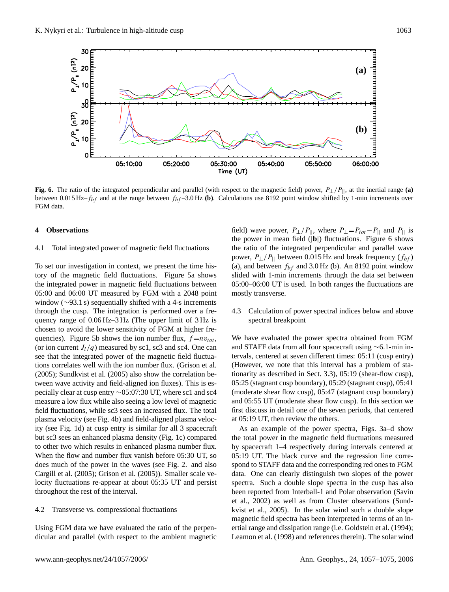

**Fig. 6.** The ratio of the integrated perpendicular and parallel (with respect to the magnetic field) power, P⊥/P||, at the inertial range **(a)** between  $0.015$  Hz– $f_{bf}$  and at the range between  $f_{bf}$  –3.0 Hz **(b)**. Calculations use 8192 point window shifted by 1-min increments over FGM data.

## **4 Observations**

## 4.1 Total integrated power of magnetic field fluctuations

To set our investigation in context, we present the time history of the magnetic field fluctuations. Figure 5a shows the integrated power in magnetic field fluctuations between 05:00 and 06:00 UT measured by FGM with a 2048 point window (∼93.1 s) sequentially shifted with a 4-s increments through the cusp. The integration is performed over a frequency range of 0.06 Hz–3 Hz (The upper limit of 3 Hz is chosen to avoid the lower sensitivity of FGM at higher frequencies). Figure 5b shows the ion number flux,  $f = nv_{tot}$ , (or ion current  $J_i/q$ ) measured by sc1, sc3 and sc4. One can see that the integrated power of the magnetic field fluctuations correlates well with the ion number flux. (Grison et al. (2005); Sundkvist et al. (2005) also show the correlation between wave activity and field-aligned ion fluxes). This is especially clear at cusp entry ∼05:07:30 UT, where sc1 and sc4 measure a low flux while also seeing a low level of magnetic field fluctuations, while sc3 sees an increased flux. The total plasma velocity (see Fig. 4b) and field-aligned plasma velocity (see Fig. 1d) at cusp entry is similar for all 3 spacecraft but sc3 sees an enhanced plasma density (Fig. 1c) compared to other two which results in enhanced plasma number flux. When the flow and number flux vanish before 05:30 UT, so does much of the power in the waves (see Fig. 2. and also Cargill et al. (2005); Grison et al. (2005)). Smaller scale velocity fluctuations re-appear at about 05:35 UT and persist throughout the rest of the interval.

## 4.2 Transverse vs. compressional fluctuations

Using FGM data we have evaluated the ratio of the perpendicular and parallel (with respect to the ambient magnetic

field) wave power,  $P_{\perp}/P_{||}$ , where  $P_{\perp} = P_{tot} - P_{||}$  and  $P_{||}$  is the power in mean field (|**b**|) fluctuations. Figure 6 shows the ratio of the integrated perpendicular and parallel wave power,  $P_{\perp}/P_{\parallel}$  between 0.015 Hz and break frequency  $(f_{bf})$ (a), and between  $f_{bf}$  and 3.0 Hz (b). An 8192 point window slided with 1-min increments through the data set between 05:00–06:00 UT is used. In both ranges the fluctuations are mostly transverse.

## 4.3 Calculation of power spectral indices below and above spectral breakpoint

We have evaluated the power spectra obtained from FGM and STAFF data from all four spacecraft using ∼6.1-min intervals, centered at seven different times: 05:11 (cusp entry) (However, we note that this interval has a problem of stationarity as described in Sect. 3.3), 05:19 (shear-flow cusp), 05:25 (stagnant cusp boundary), 05:29 (stagnant cusp), 05:41 (moderate shear flow cusp), 05:47 (stagnant cusp boundary) and 05:55 UT (moderate shear flow cusp). In this section we first discuss in detail one of the seven periods, that centered at 05:19 UT, then review the others.

As an example of the power spectra, Figs. 3a–d show the total power in the magnetic field fluctuations measured by spacecraft 1–4 respectively during intervals centered at 05:19 UT. The black curve and the regression line correspond to STAFF data and the corresponding red ones to FGM data. One can clearly distinguish two slopes of the power spectra. Such a double slope spectra in the cusp has also been reported from Interball-1 and Polar observation (Savin et al., 2002) as well as from Cluster observations (Sundkvist et al., 2005). In the solar wind such a double slope magnetic field spectra has been interpreted in terms of an inertial range and dissipation range (i.e. Goldstein et al. (1994); Leamon et al. (1998) and references therein). The solar wind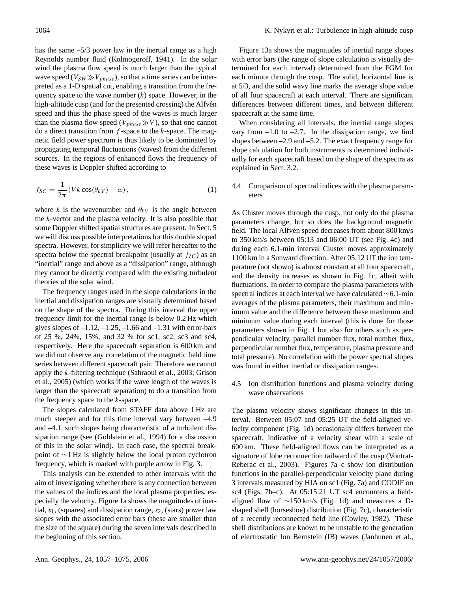has the same  $-5/3$  power law in the inertial range as a high Reynolds number fluid (Kolmogoroff, 1941). In the solar wind the plasma flow speed is much larger than the typical wave speed ( $V_{SW} \gg V_{phase}$ ), so that a time series can be interpreted as a 1-D spatial cut, enabling a transition from the frequency space to the wave number  $(k)$  space. However, in the high-altitude cusp (and for the presented crossing) the Alfvén speed and thus the phase speed of the waves is much larger than the plasma flow speed  $(V_{phase} \gg V)$ , so that one cannot do a direct transition from  $f$ -space to the  $k$ -space. The magnetic field power spectrum is thus likely to be dominated by propagating temporal fluctuations (waves) from the different sources. In the regions of enhanced flows the frequency of these waves is Doppler-shifted according to

$$
f_{SC} = \frac{1}{2\pi} (Vk \cos(\theta_{kV}) + \omega), \qquad (1)
$$

where k is the wavenumber and  $\theta_{kV}$  is the angle between the  $k$ -vector and the plasma velocity. It is also possible that some Doppler shifted spatial structures are present. In Sect. 5 we will discuss possible interpretations for this double sloped spectra. However, for simplicity we will refer hereafter to the spectra below the spectral breakpoint (usually at  $f_{IC}$ ) as an "inertial" range and above as a "dissipation" range, although they cannot be directly compared with the existing turbulent theories of the solar wind.

The frequency ranges used in the slope calculations in the inertial and dissipation ranges are visually determined based on the shape of the spectra. During this interval the upper frequency limit for the inertial range is below 0.2 Hz which gives slopes of  $-1.12$ ,  $-1.25$ ,  $-1.66$  and  $-1.31$  with error-bars of 25 %, 24%, 15%, and 32 % for sc1, sc2, sc3 and sc4, respectively. Here the spacecraft separation is 600 km and we did not observe any correlation of the magnetic field time series between different spacecraft pair. Therefore we cannot apply the k-filtering technique (Sahraoui et al., 2003; Grison et al., 2005) (which works if the wave length of the waves is larger than the spacecraft separation) to do a transition from the frequency space to the  $k$ -space.

The slopes calculated from STAFF data above 1 Hz are much steeper and for this time interval vary between –4.9 and –4.1, such slopes being characteristic of a turbulent dissipation range (see (Goldstein et al., 1994) for a discussion of this in the solar wind). In each case, the spectral breakpoint of ∼1 Hz is slightly below the local proton cyclotron frequency, which is marked with purple arrow in Fig. 3.

This analysis can be extended to other intervals with the aim of investigating whether there is any connection between the values of the indices and the local plasma properties, especially the velocity. Figure 1a shows the magnitudes of inertial,  $s_1$ , (squares) and dissipation range,  $s_2$ , (stars) power law slopes with the associated error bars (these are smaller than the size of the square) during the seven intervals described in the beginning of this section.

Figure 13a shows the magnitudes of inertial range slopes with error bars (the range of slope calculation is visually determined for each interval) determined from the FGM for each minute through the cusp. The solid, horizontal line is at 5/3, and the solid wavy line marks the average slope value of all four spacecraft at each interval. There are significant differences between different times, and between different spacecraft at the same time.

When considering all intervals, the inertial range slopes vary from  $-1.0$  to  $-2.7$ . In the dissipation range, we find slopes between –2.9 and –5.2. The exact frequency range for slope calculation for both instruments is determined individually for each spacecraft based on the shape of the spectra as explained in Sect. 3.2.

4.4 Comparison of spectral indices with the plasma parameters

As Cluster moves through the cusp, not only do the plasma parameters change, but so does the background magnetic field. The local Alfvén speed decreases from about 800 km/s to 350 km/s between 05:13 and 06:00 UT (see Fig. 4c) and during each 6.1-min interval Cluster moves approximately 1100 km in a Sunward direction. After 05:12 UT the ion temperature (not shown) is almost constant at all four spacecraft, and the density increases as shown in Fig. 1c, albeit with fluctuations. In order to compare the plasma parameters with spectral indices at each interval we have calculated ∼6.1-min averages of the plasma parameters, their maximum and minimum value and the difference between these maximum and minimum value during each interval (this is done for those parameters shown in Fig. 1 but also for others such as perpendicular velocity, parallel number flux, total number flux, perpendicular number flux, temperature, plasma pressure and total pressure). No correlation with the power spectral slopes was found in either inertial or dissipation ranges.

4.5 Ion distribution functions and plasma velocity during wave observations

The plasma velocity shows significant changes in this interval. Between 05:07 and 05:25 UT the field-aligned velocity component (Fig. 1d) occasionally differs between the spacecraft, indicative of a velocity shear with a scale of 600 km. These field-aligned flows can be interpreted as a signature of lobe reconnection tailward of the cusp (Vontrat-Reberac et al., 2003). Figures 7a–c show ion distribution functions in the parallel-perpendicular velocity plane during 3 intervals measured by HIA on sc1 (Fig. 7a) and CODIF on sc4 (Figs. 7b–c). At 05:15:21 UT sc4 encounters a fieldaligned flow of  $\sim$ 150 km/s (Fig. 1d) and measures a Dshaped shell (horseshoe) distribution (Fig. 7c), characteristic of a recently reconnected field line (Cowley, 1982). These shell distributions are known to be unstable to the generation of electrostatic Ion Bernstein (IB) waves (Janhunen et al.,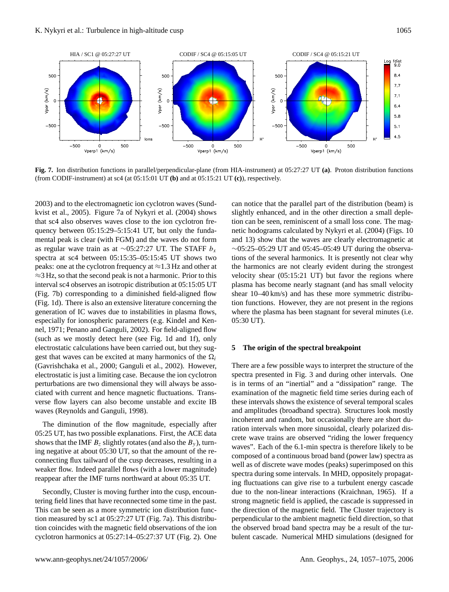

**Fig. 7.** Ion distribution functions in parallel/perpendicular-plane (from HIA-instrument) at 05:27:27 UT **(a)**. Proton distribution functions (from CODIF-instrument) at sc4 (at 05:15:01 UT **(b)** and at 05:15:21 UT **(c)**), respectively.

2003) and to the electromagnetic ion cyclotron waves (Sundkvist et al., 2005). Figure 7a of Nykyri et al. (2004) shows that sc4 also observes waves close to the ion cyclotron frequency between 05:15:29–5:15:41 UT, but only the fundamental peak is clear (with FGM) and the waves do not form as regular wave train as at ∼05:27:27 UT. The STAFF  $b_x$ spectra at sc4 between 05:15:35–05:15:45 UT shows two peaks: one at the cyclotron frequency at  $\approx$  1.3 Hz and other at  $\approx$ 3 Hz, so that the second peak is not a harmonic. Prior to this interval sc4 observes an isotropic distribution at 05:15:05 UT (Fig. 7b) corresponding to a diminished field-aligned flow (Fig. 1d). There is also an extensive literature concerning the generation of IC waves due to instabilities in plasma flows, especially for ionospheric parameters (e.g. Kindel and Kennel, 1971; Penano and Ganguli, 2002). For field-aligned flow (such as we mostly detect here (see Fig. 1d and 1f), only electrostatic calculations have been carried out, but they suggest that waves can be excited at many harmonics of the  $\Omega_i$ (Gavrishchaka et al., 2000; Ganguli et al., 2002). However, electrostatic is just a limiting case. Because the ion cyclotron perturbations are two dimensional they will always be associated with current and hence magnetic fluctuations. Transverse flow layers can also become unstable and excite IB waves (Reynolds and Ganguli, 1998).

The diminution of the flow magnitude, especially after 05:25 UT, has two possible explanations. First, the ACE data shows that the IMF  $B_z$  slightly rotates (and also the  $B_y$ ), turning negative at about 05:30 UT, so that the amount of the reconnecting flux tailward of the cusp decreases, resulting in a weaker flow. Indeed parallel flows (with a lower magnitude) reappear after the IMF turns northward at about 05:35 UT.

Secondly, Cluster is moving further into the cusp, encountering field lines that have reconnected some time in the past. This can be seen as a more symmetric ion distribution function measured by sc1 at 05:27:27 UT (Fig. 7a). This distribution coincides with the magnetic field observations of the ion cyclotron harmonics at 05:27:14–05:27:37 UT (Fig. 2). One can notice that the parallel part of the distribution (beam) is slightly enhanced, and in the other direction a small depletion can be seen, reminiscent of a small loss cone. The magnetic hodograms calculated by Nykyri et al. (2004) (Figs. 10 and 13) show that the waves are clearly electromagnetic at ∼05:25–05:29 UT and 05:45–05:49 UT during the observations of the several harmonics. It is presently not clear why the harmonics are not clearly evident during the strongest velocity shear (05:15:21 UT) but favor the regions where plasma has become nearly stagnant (and has small velocity shear 10–40 km/s) and has these more symmetric distribution functions. However, they are not present in the regions where the plasma has been stagnant for several minutes (i.e. 05:30 UT).

## **5 The origin of the spectral breakpoint**

There are a few possible ways to interpret the structure of the spectra presented in Fig. 3 and during other intervals. One is in terms of an "inertial" and a "dissipation" range. The examination of the magnetic field time series during each of these intervals shows the existence of several temporal scales and amplitudes (broadband spectra). Structures look mostly incoherent and random, but occasionally there are short duration intervals when more sinusoidal, clearly polarized discrete wave trains are observed "riding the lower frequency waves". Each of the 6.1-min spectra is therefore likely to be composed of a continuous broad band (power law) spectra as well as of discrete wave modes (peaks) superimposed on this spectra during some intervals. In MHD, oppositely propagating fluctuations can give rise to a turbulent energy cascade due to the non-linear interactions (Kraichnan, 1965). If a strong magnetic field is applied, the cascade is suppressed in the direction of the magnetic field. The Cluster trajectory is perpendicular to the ambient magnetic field direction, so that the observed broad band spectra may be a result of the turbulent cascade. Numerical MHD simulations (designed for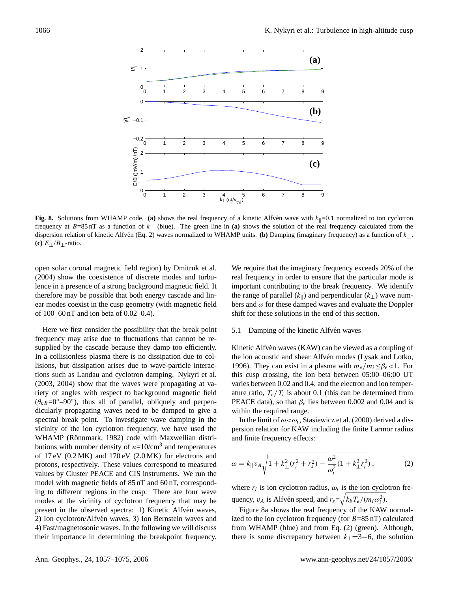

**Fig. 8.** Solutions from WHAMP code. (a) shows the real frequency of a kinetic Alfven wave with  $k_{\parallel} = 0.1$  normalized to ion cyclotron frequency at B=85 nT as a function of k⊥ (blue). The green line in **(a)** shows the solution of the real frequency calculated from the dispersion relation of kinetic Alfvén (Eq. 2) waves normalized to WHAMP units. (b) Damping (imaginary frequency) as a function of  $k_{\perp}$ . **(c)**  $E$ <sub>⊥</sub>/ $B$ <sub>⊥</sub>-ratio.

open solar coronal magnetic field region) by Dmitruk et al. (2004) show the coexistence of discrete modes and turbulence in a presence of a strong background magnetic field. It therefore may be possible that both energy cascade and linear modes coexist in the cusp geometry (with magnetic field of 100–60 nT and ion beta of 0.02–0.4).

Here we first consider the possibility that the break point frequency may arise due to fluctuations that cannot be resupplied by the cascade because they damp too efficiently. In a collisionless plasma there is no dissipation due to collisions, but dissipation arises due to wave-particle interactions such as Landau and cyclotron damping. Nykyri et al. (2003, 2004) show that the waves were propagating at variety of angles with respect to background magnetic field  $(\theta_{kB} = 0^\circ - 90^\circ)$ , thus all of parallel, obliquely and perpendicularly propagating waves need to be damped to give a spectral break point. To investigate wave damping in the vicinity of the ion cyclotron frequency, we have used the WHAMP (Rönnmark, 1982) code with Maxwellian distributions with number density of  $n=10/cm^3$  and temperatures of 17 eV (0.2 MK) and 170 eV (2.0 MK) for electrons and protons, respectively. These values correspond to measured values by Cluster PEACE and CIS instruments. We run the model with magnetic fields of 85 nT and 60 nT, corresponding to different regions in the cusp. There are four wave modes at the vicinity of cyclotron frequency that may be present in the observed spectra: 1) Kinetic Alfvén waves, 2) Ion cyclotron/Alfvén waves, 3) Ion Bernstein waves and 4) Fast/magnetosonic waves. In the following we will discuss their importance in determining the breakpoint frequency.

We require that the imaginary frequency exceeds 20% of the real frequency in order to ensure that the particular mode is important contributing to the break frequency. We identify the range of parallel  $(k_{\parallel})$  and perpendicular  $(k_{\perp})$  wave numbers and  $\omega$  for these damped waves and evaluate the Doppler shift for these solutions in the end of this section.

#### 5.1 Damping of the kinetic Alfvén waves

Kinetic Alfvén waves (KAW) can be viewed as a coupling of the ion acoustic and shear Alfvén modes (Lysak and Lotko, 1996). They can exist in a plasma with  $m_e/m_i \leq \beta_e < 1$ . For this cusp crossing, the ion beta between 05:00–06:00 UT varies between 0.02 and 0.4, and the electron and ion temperature ratio,  $T_e/T_i$  is about 0.1 (this can be determined from PEACE data), so that  $\beta_e$  lies between 0.002 and 0.04 and is within the required range.

In the limit of  $\omega < \omega_i$ , Stasiewicz et al. (2000) derived a dispersion relation for KAW including the finite Larmor radius and finite frequency effects:

$$
\omega = k_{\parallel} v_A \sqrt{1 + k_{\perp}^2 (r_i^2 + r_s^2) - \frac{\omega^2}{\omega_i^2} (1 + k_{\perp}^2 r_i^2)},\tag{2}
$$

where  $r_i$  is ion cyclotron radius,  $\omega_i$  is the ion cyclotron frequency,  $v_A$  is Alfvén speed, and  $r_s = \sqrt{k_b T_e/(m_i \omega_i^2)}$ .

Figure 8a shows the real frequency of the KAW normalized to the ion cyclotron frequency (for  $B=85$  nT) calculated from WHAMP (blue) and from Eq. (2) (green). Although, there is some discrepancy between  $k_{\perp}$ =3−6, the solution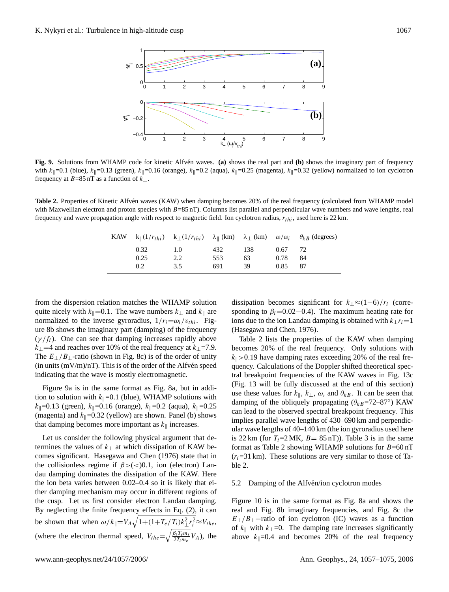

Fig. 9. Solutions from WHAMP code for kinetic Alfvén waves. (a) shows the real part and (b) shows the imaginary part of frequency with  $k_{\parallel}=0.1$  (blue),  $k_{\parallel}=0.13$  (green),  $k_{\parallel}=0.16$  (orange),  $k_{\parallel}=0.2$  (aqua),  $k_{\parallel}=0.25$  (magenta),  $k_{\parallel}=0.32$  (yellow) normalized to ion cyclotron frequency at  $B=85$  nT as a function of  $k_{\perp}$ .

Table 2. Properties of Kinetic Alfvén waves (KAW) when damping becomes 20% of the real frequency (calculated from WHAMP model with Maxwellian electron and proton species with B=85 nT). Columns list parallel and perpendicular wave numbers and wave lengths, real frequency and wave propagation angle with respect to magnetic field. Ion cyclotron radius,  $r_{thi}$ , used here is 22 km.

| KAW |      |     |     |     |      | $k_{\parallel}(1/r_{thi})$ $k_{\perp}(1/r_{thi})$ $\lambda_{\parallel}$ (km) $\lambda_{\perp}$ (km) $\omega/\omega_i$ $\theta_{kB}$ (degrees) |
|-----|------|-----|-----|-----|------|-----------------------------------------------------------------------------------------------------------------------------------------------|
|     | 0.32 | 1.0 | 432 | 138 | 0.67 | 72                                                                                                                                            |
|     | 0.25 | 2.2 | 553 | 63  | 0.78 | 84                                                                                                                                            |
|     | 0.2  | 3.5 | 691 | 39  | 0.85 | 87                                                                                                                                            |

from the dispersion relation matches the WHAMP solution quite nicely with  $k_{\parallel}=0.1$ . The wave numbers  $k_{\perp}$  and  $k_{\parallel}$  are normalized to the inverse gyroradius,  $1/r_i = \omega_i/v_{thi}$ . Figure 8b shows the imaginary part (damping) of the frequency  $(\gamma/f_i)$ . One can see that damping increases rapidly above  $k_{\perp}$ =4 and reaches over 10% of the real frequency at  $k_{\perp}$ =7.9. The  $E_{\perp}/B_{\perp}$ -ratio (shown in Fig. 8c) is of the order of unity  $(in units (mV/m)/nT)$ . This is of the order of the Alfven speed indicating that the wave is mostly electromagnetic.

Figure 9a is in the same format as Fig. 8a, but in addition to solution with  $k_{\parallel}=0.1$  (blue), WHAMP solutions with  $k_{\parallel}$ =0.13 (green),  $k_{\parallel}$ =0.16 (orange),  $k_{\parallel}$ =0.2 (aqua),  $k_{\parallel}$ =0.25 (magenta) and  $k_{\parallel}$ =0.32 (yellow) are shown. Panel (b) shows that damping becomes more important as  $k_{\parallel}$  increases.

Let us consider the following physical argument that determines the values of  $k_{\perp}$  at which dissipation of KAW becomes significant. Hasegawa and Chen (1976) state that in the collisionless regime if  $\beta$ >(<)0.1, ion (electron) Landau damping dominates the dissipation of the KAW. Here the ion beta varies between 0.02–0.4 so it is likely that either damping mechanism may occur in different regions of the cusp. Let us first consider electron Landau damping. By neglecting the finite frequency effects in Eq. (2), it can be shown that when  $\omega/k_{\parallel} = V_A \sqrt{1 + (1 + T_e/T_i)k_{\perp}^2 r_i^2} \approx V_{the}$ , (where the electron thermal speed,  $V_{the} = \sqrt{\frac{\beta_i T_e m_i}{2 T_i m_s}}$  $\frac{B_i I_e m_i}{2T_i m_e} V_A$ ), the

dissipation becomes significant for  $k_\perp \approx (1-6)/r_i$  (corresponding to  $\beta_i$ =0.02−0.4). The maximum heating rate for ions due to the ion Landau damping is obtained with  $k_{\perp}r_i=1$ (Hasegawa and Chen, 1976).

Table 2 lists the properties of the KAW when damping becomes 20% of the real frequency. Only solutions with  $k_{\parallel}$  > 0.19 have damping rates exceeding 20% of the real frequency. Calculations of the Doppler shifted theoretical spectral breakpoint frequencies of the KAW waves in Fig. 13c (Fig. 13 will be fully discussed at the end of this section) use these values for  $k_{\parallel}$ ,  $k_{\perp}$ ,  $\omega$ , and  $\theta_{kB}$ . It can be seen that damping of the obliquely propagating  $(\theta_{kB} = 72 - 87°)$  KAW can lead to the observed spectral breakpoint frequency. This implies parallel wave lengths of 430–690 km and perpendicular wave lengths of 40–140 km (the ion gyroradius used here is 22 km (for  $T_i=2MK$ ,  $B=85$  nT)). Table 3 is in the same format as Table 2 showing WHAMP solutions for  $B=60$  nT  $(r<sub>i</sub>=31$  km). These solutions are very similar to those of Table 2.

## 5.2 Damping of the Alfvén/ion cyclotron modes

Figure 10 is in the same format as Fig. 8a and shows the real and Fig. 8b imaginary frequencies, and Fig. 8c the  $E_{\perp}/B_{\perp}$ −ratio of ion cyclotron (IC) waves as a function of  $k_{\parallel}$  with  $k_{\perp}$ =0. The damping rate increases significantly above  $k_{\parallel}=0.4$  and becomes 20% of the real frequency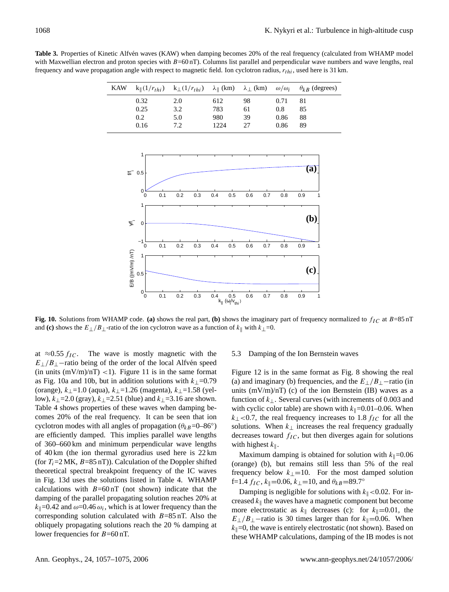Table 3. Properties of Kinetic Alfvén waves (KAW) when damping becomes 20% of the real frequency (calculated from WHAMP model with Maxwellian electron and proton species with B=60 nT). Columns list parallel and perpendicular wave numbers and wave lengths, real frequency and wave propagation angle with respect to magnetic field. Ion cyclotron radius,  $r_{thi}$ , used here is 31 km.

| KAW |      |     |      |    |      | $k_{\parallel}(1/r_{thi})$ $k_{\perp}(1/r_{thi})$ $\lambda_{\parallel}$ (km) $\lambda_{\perp}$ (km) $\omega/\omega_i$ $\theta_{kB}$ (degrees) |
|-----|------|-----|------|----|------|-----------------------------------------------------------------------------------------------------------------------------------------------|
|     | 0.32 | 2.0 | 612  | 98 | 0.71 | 81                                                                                                                                            |
|     | 0.25 | 3.2 | 783  | 61 | 0.8  | 85                                                                                                                                            |
|     | 0.2  | 5.0 | 980  | 39 | 0.86 | 88                                                                                                                                            |
|     | 0.16 | 7.2 | 1224 | 27 | 0.86 | -89                                                                                                                                           |



**Fig. 10.** Solutions from WHAMP code. (a) shows the real part, (b) shows the imaginary part of frequency normalized to  $f_{IC}$  at  $B=85$  nT and **(c)** shows the  $E_{\perp}/B_{\perp}$ -ratio of the ion cyclotron wave as a function of  $k_{\parallel}$  with  $k_{\perp}=0$ .

at  $\approx 0.55 f_{IC}$ . The wave is mostly magnetic with the  $E_{\perp}/B_{\perp}$ –ratio being of the order of the local Alfvén speed (in units  $(mV/m)/nT$ ) <1). Figure 11 is in the same format as Fig. 10a and 10b, but in addition solutions with  $k_{\perp}$ =0.79 (orange),  $k_{\perp}$ =1.0 (aqua),  $k_{\perp}$ =1.26 (magenta),  $k_{\perp}$ =1.58 (yellow),  $k_{\perp}$ =2.0 (gray),  $k_{\perp}$ =2.51 (blue) and  $k_{\perp}$ =3.16 are shown. Table 4 shows properties of these waves when damping becomes 20% of the real frequency. It can be seen that ion cyclotron modes with all angles of propagation ( $\theta_{kB}$ =0–86°) are efficiently damped. This implies parallel wave lengths of 360–660 km and minimum perpendicular wave lengths of 40 km (the ion thermal gyroradius used here is 22 km (for  $T_i = 2MK$ ,  $B = 85 \text{ nT}$ ). Calculation of the Doppler shifted theoretical spectral breakpoint frequency of the IC waves in Fig. 13d uses the solutions listed in Table 4. WHAMP calculations with  $B=60$  nT (not shown) indicate that the damping of the parallel propagating solution reaches 20% at  $k_{\parallel}$ =0.42 and  $\omega$ =0.46  $\omega_i$ , which is at lower frequency than the corresponding solution calculated with  $B=85$  nT. Also the obliquely propagating solutions reach the 20 % damping at lower frequencies for B=60 nT.

#### 5.3 Damping of the Ion Bernstein waves

Figure 12 is in the same format as Fig. 8 showing the real (a) and imaginary (b) frequencies, and the  $E_{\perp}/B_{\perp}$ –ratio (in units  $(mV/m)/nT$ ) (c) of the ion Bernstein (IB) waves as a function of  $k_{\perp}$ . Several curves (with increments of 0.003 and with cyclic color table) are shown with  $k_{\parallel}=0.01-0.06$ . When  $k_{\perp}$  <0.7, the real frequency increases to 1.8  $f_{IC}$  for all the solutions. When  $k_{\perp}$  increases the real frequency gradually decreases toward  $f_{IC}$ , but then diverges again for solutions with highest  $k_{\parallel}$ .

Maximum damping is obtained for solution with  $k_{\parallel}=0.06$ (orange) (b), but remains still less than 5% of the real frequency below  $k_{\perp}=10$ . For the most damped solution f=1.4  $f_{IC}$ ,  $k_{\parallel}$ =0.06,  $k_{\perp}$ =10, and  $\theta_{kB}$ =89.7°

Damping is negligible for solutions with  $k_{\parallel} < 0.02$ . For increased  $k_{\parallel}$  the waves have a magnetic component but become more electrostatic as  $k_{\parallel}$  decreases (c): for  $k_{\parallel}=0.01$ , the  $E_{\perp}/B_{\perp}$ –ratio is 30 times larger than for  $k_{\parallel}=0.06$ . When  $k_{\parallel}=0$ , the wave is entirely electrostatic (not shown). Based on these WHAMP calculations, damping of the IB modes is not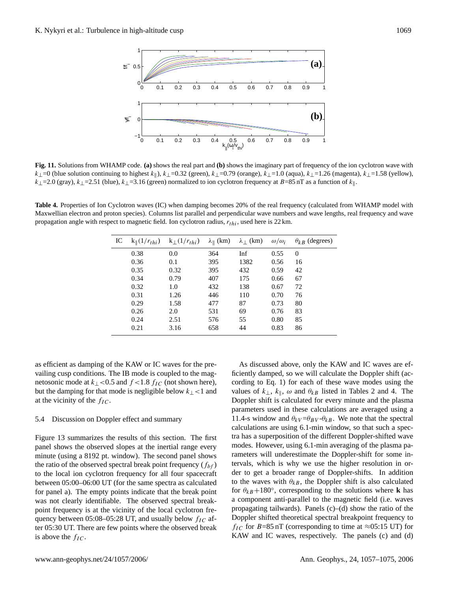

**Fig. 11.** Solutions from WHAMP code. **(a)** shows the real part and **(b)** shows the imaginary part of frequency of the ion cyclotron wave with  $k_{\perp}=0$  (blue solution continuing to highest  $k_{\parallel}$ ),  $k_{\perp}=0.32$  (green),  $k_{\perp}=0.79$  (orange),  $k_{\perp}=1.0$  (aqua),  $k_{\perp}=1.26$  (magenta),  $k_{\perp}=1.58$  (yellow),  $k_{\perp}$ =2.0 (gray),  $k_{\perp}$ =2.51 (blue),  $k_{\perp}$ =3.16 (green) normalized to ion cyclotron frequency at B=85 nT as a function of  $k_{\parallel}$ .

**Table 4.** Properties of Ion Cyclotron waves (IC) when damping becomes 20% of the real frequency (calculated from WHAMP model with Maxwellian electron and proton species). Columns list parallel and perpendicular wave numbers and wave lengths, real frequency and wave propagation angle with respect to magnetic field. Ion cyclotron radius,  $r_{thi}$ , used here is 22 km.

| IC |      | $k_{\parallel}(1/r_{thi})$ $k_{\perp}(1/r_{thi})$ | $\lambda_{\parallel}$ (km) | $\lambda_{\perp}$ (km) | $\omega/\omega_i$ | $\theta_{kR}$ (degrees) |
|----|------|---------------------------------------------------|----------------------------|------------------------|-------------------|-------------------------|
|    | 0.38 | 0.0                                               | 364                        | Inf                    | 0.55              | $\overline{0}$          |
|    | 0.36 | 0.1                                               | 395                        | 1382                   | 0.56              | 16                      |
|    | 0.35 | 0.32                                              | 395                        | 432                    | 0.59              | 42                      |
|    | 0.34 | 0.79                                              | 407                        | 175                    | 0.66              | 67                      |
|    | 0.32 | 1.0                                               | 432                        | 138                    | 0.67              | 72                      |
|    | 0.31 | 1.26                                              | 446                        | 110                    | 0.70              | 76                      |
|    | 0.29 | 1.58                                              | 477                        | 87                     | 0.73              | 80                      |
|    | 0.26 | 2.0                                               | 531                        | 69                     | 0.76              | 83                      |
|    | 0.24 | 2.51                                              | 576                        | 55                     | 0.80              | 85                      |
|    | 0.21 | 3.16                                              | 658                        | 44                     | 0.83              | 86                      |

as efficient as damping of the KAW or IC waves for the prevailing cusp conditions. The IB mode is coupled to the magnetosonic mode at  $k_{\perp}$  <0.5 and  $f$  <1.8  $f_{IC}$  (not shown here), but the damping for that mode is negligible below  $k_{\perp}$  < 1 and at the vicinity of the  $f_{IC}$ .

## 5.4 Discussion on Doppler effect and summary

Figure 13 summarizes the results of this section. The first panel shows the observed slopes at the inertial range every minute (using a 8192 pt. window). The second panel shows the ratio of the observed spectral break point frequency  $(f_{bf})$ to the local ion cyclotron frequency for all four spacecraft between 05:00–06:00 UT (for the same spectra as calculated for panel a). The empty points indicate that the break point was not clearly identifiable. The observed spectral breakpoint frequency is at the vicinity of the local cyclotron frequency between 05:08–05:28 UT, and usually below  $f_{IC}$  after 05:30 UT. There are few points where the observed break is above the  $f_{IC}$ .

As discussed above, only the KAW and IC waves are efficiently damped, so we will calculate the Doppler shift (according to Eq. 1) for each of these wave modes using the values of  $k_{\perp}$ ,  $k_{\parallel}$ ,  $\omega$  and  $\theta_{kB}$  listed in Tables 2 and 4. The Doppler shift is calculated for every minute and the plasma parameters used in these calculations are averaged using a 11.4-s window and  $\theta_{kV} = \theta_{BV} - \theta_{kB}$ . We note that the spectral calculations are using 6.1-min window, so that such a spectra has a superposition of the different Doppler-shifted wave modes. However, using 6.1-min averaging of the plasma parameters will underestimate the Doppler-shift for some intervals, which is why we use the higher resolution in order to get a broader range of Doppler-shifts. In addition to the waves with  $\theta_{kB}$ , the Doppler shift is also calculated for  $\theta_{kB}$ +180°, corresponding to the solutions where **k** has a component anti-parallel to the magnetic field (i.e. waves propagating tailwards). Panels  $(c)$ – $(d)$  show the ratio of the Doppler shifted theoretical spectral breakpoint frequency to f<sub>IC</sub> for B=85 nT (corresponding to time at ≈05:15 UT) for KAW and IC waves, respectively. The panels (c) and (d)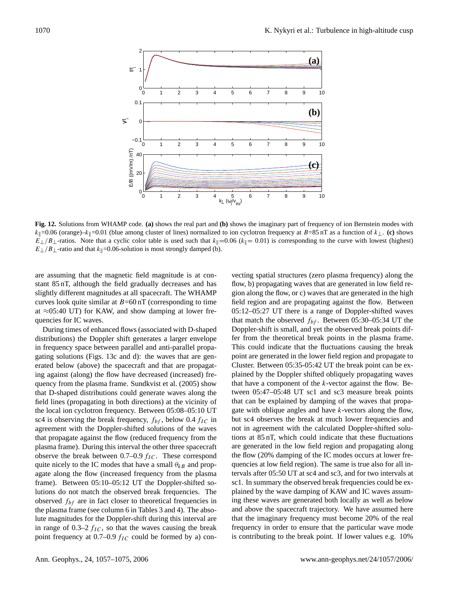

**Fig. 12.** Solutions from WHAMP code. **(a)** shows the real part and **(b)** shows the imaginary part of frequency of ion Bernstein modes with  $k_{\parallel}$ =0.06 (orange)– $k_{\parallel}$ =0.01 (blue among cluster of lines) normalized to ion cyclotron frequency at B=85 nT as a function of  $k_{\perp}$ . **(c)** shows  $E_{\perp}/B_{\perp}$ -ratios. Note that a cyclic color table is used such that  $k_{\parallel}=0.06$  ( $k_{\parallel}= 0.01$ ) is corresponding to the curve with lowest (highest)  $E_{\perp}/B_{\perp}$ -ratio and that  $k_{\parallel}=0.06$ -solution is most strongly damped (b).

are assuming that the magnetic field magnitude is at constant 85 nT, although the field gradually decreases and has slightly different magnitudes at all spacecraft. The WHAMP curves look quite similar at  $B=60$  nT (corresponding to time at  $\approx$ 05:40 UT) for KAW, and show damping at lower frequencies for IC waves.

During times of enhanced flows (associated with D-shaped distributions) the Doppler shift generates a larger envelope in frequency space between parallel and anti-parallel propagating solutions (Figs. 13c and d): the waves that are generated below (above) the spacecraft and that are propagating against (along) the flow have decreased (increased) frequency from the plasma frame. Sundkvist et al. (2005) show that D-shaped distributions could generate waves along the field lines (propagating in both directions) at the vicinity of the local ion cyclotron frequency. Between 05:08–05:10 UT sc4 is observing the break frequency,  $f_{bf}$ , below 0.4  $f_{IC}$  in agreement with the Doppler-shifted solutions of the waves that propagate against the flow (reduced frequency from the plasma frame). During this interval the other three spacecraft observe the break between 0.7–0.9  $f_{IC}$ . These correspond quite nicely to the IC modes that have a small  $\theta_{kB}$  and propagate along the flow (increased frequency from the plasma frame). Between 05:10–05:12 UT the Doppler-shifted solutions do not match the observed break frequencies. The observed  $f_{bf}$  are in fact closer to theoretical frequencies in the plasma frame (see column 6 in Tables 3 and 4). The absolute magnitudes for the Doppler-shift during this interval are in range of  $0.3-2 f_{IC}$ , so that the waves causing the break point frequency at 0.7–0.9  $f_{IC}$  could be formed by a) con-

vecting spatial structures (zero plasma frequency) along the flow, b) propagating waves that are generated in low field region along the flow, or c) waves that are generated in the high field region and are propagating against the flow. Between 05:12–05:27 UT there is a range of Doppler-shifted waves that match the observed  $f_{bf}$ . Between 05:30–05:34 UT the Doppler-shift is small, and yet the observed break points differ from the theoretical break points in the plasma frame. This could indicate that the fluctuations causing the break point are generated in the lower field region and propagate to Cluster. Between 05:35-05:42 UT the break point can be explained by the Doppler shifted obliquely propagating waves that have a component of the  $k$ -vector against the flow. Between 05:47–05:48 UT sc1 and sc3 measure break points that can be explained by damping of the waves that propagate with oblique angles and have  $k$ -vectors along the flow, but sc4 observes the break at much lower frequencies and not in agreement with the calculated Doppler-shifted solutions at 85 nT, which could indicate that these fluctuations are generated in the low field region and propagating along the flow (20% damping of the IC modes occurs at lower frequencies at low field region). The same is true also for all intervals after 05:50 UT at sc4 and sc3, and for two intervals at sc1. In summary the observed break frequencies could be explained by the wave damping of KAW and IC waves assuming these waves are generated both locally as well as below and above the spacecraft trajectory. We have assumed here that the imaginary frequency must become 20% of the real frequency in order to ensure that the particular wave mode is contributing to the break point. If lower values e.g. 10%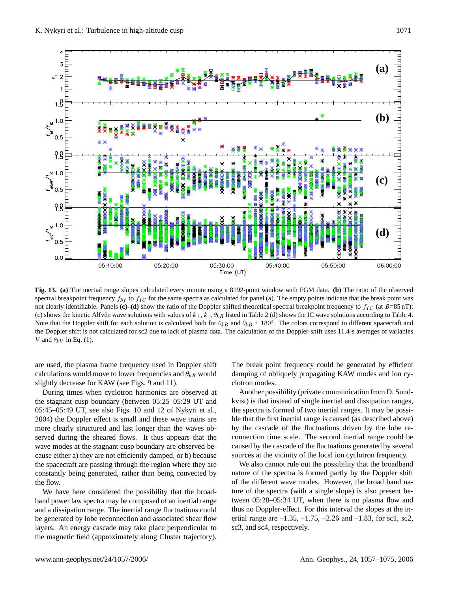

**Fig. 13. (a)** The inertial range slopes calculated every minute using a 8192-point window with FGM data. **(b)** The ratio of the observed spectral breakpoint frequency  $f_{bf}$  to  $f_{IC}$  for the same spectra as calculated for panel (a). The empty points indicate that the break point was not clearly identifiable. Panels  $(c)$ – $(d)$  show the ratio of the Doppler shifted theoretical spectral breakpoint frequency to  $f_{IC}$  (at B=85 nT): (c) shows the kinetic Alfvén wave solutions with values of  $k_{\perp}, k_{\parallel}, \theta_{kB}$  listed in Table 2 (d) shows the IC wave solutions according to Table 4. Note that the Doppler shift for each solution is calculated both for  $\theta_{kB}$  and  $\theta_{kB}$  + 180°. The colors correspond to different spacecraft and the Doppler shift is not calculated for sc2 due to lack of plasma data. The calculation of the Doppler-shift uses 11.4-s averages of variables V and  $\theta_{kV}$  in Eq. (1).

are used, the plasma frame frequency used in Doppler shift calculations would move to lower frequencies and  $\theta_{kB}$  would slightly decrease for KAW (see Figs. 9 and 11).

During times when cyclotron harmonics are observed at the stagnant cusp boundary (between 05:25–05:29 UT and 05:45–05:49 UT, see also Figs. 10 and 12 of Nykyri et al., 2004) the Doppler effect is small and these wave trains are more clearly structured and last longer than the waves observed during the sheared flows. It thus appears that the wave modes at the stagnant cusp boundary are observed because either a) they are not efficiently damped, or b) because the spacecraft are passing through the region where they are constantly being generated, rather than being convected by the flow.

We have here considered the possibility that the broadband power law spectra may be composed of an inertial range and a dissipation range. The inertial range fluctuations could be generated by lobe reconnection and associated shear flow layers. An energy cascade may take place perpendicular to the magnetic field (approximately along Cluster trajectory). The break point frequency could be generated by efficient damping of obliquely propagating KAW modes and ion cyclotron modes.

Another possibility (private communication from D. Sundkvist) is that instead of single inertial and dissipation ranges, the spectra is formed of two inertial ranges. It may be possible that the first inertial range is caused (as described above) by the cascade of the fluctuations driven by the lobe reconnection time scale. The second inertial range could be caused by the cascade of the fluctuations generated by several sources at the vicinity of the local ion cyclotron frequency.

We also cannot rule out the possibility that the broadband nature of the spectra is formed partly by the Doppler shift of the different wave modes. However, the broad band nature of the spectra (with a single slope) is also present between 05:28–05:34 UT, when there is no plasma flow and thus no Doppler-effect. For this interval the slopes at the inertial range are  $-1.35, -1.75, -2.26$  and  $-1.83$ , for sc1, sc2, sc3, and sc4, respectively.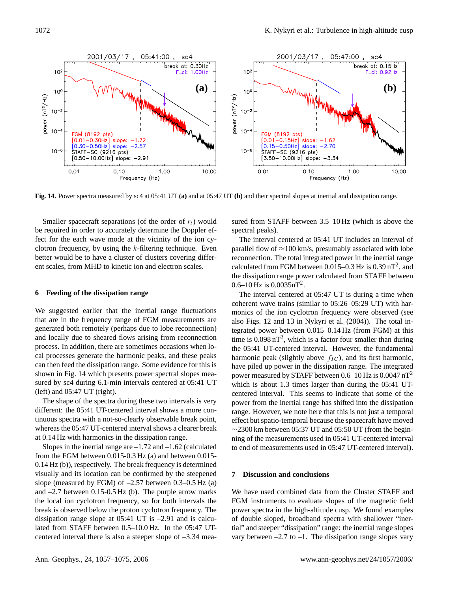

**Fig. 14.** Power spectra measured by sc4 at 05:41 UT **(a)** and at 05:47 UT **(b)** and their spectral slopes at inertial and dissipation range.

Smaller spacecraft separations (of the order of  $r_i$ ) would be required in order to accurately determine the Doppler effect for the each wave mode at the vicinity of the ion cyclotron frequency, by using the  $k$ -filtering technique. Even better would be to have a cluster of clusters covering different scales, from MHD to kinetic ion and electron scales.

## **6 Feeding of the dissipation range**

We suggested earlier that the inertial range fluctuations that are in the frequency range of FGM measurements are generated both remotely (perhaps due to lobe reconnection) and locally due to sheared flows arising from reconnection process. In addition, there are sometimes occasions when local processes generate the harmonic peaks, and these peaks can then feed the dissipation range. Some evidence for this is shown in Fig. 14 which presents power spectral slopes measured by sc4 during 6.1-min intervals centered at 05:41 UT (left) and 05:47 UT (right).

The shape of the spectra during these two intervals is very different: the 05:41 UT-centered interval shows a more continuous spectra with a not-so-clearly observable break point, whereas the 05:47 UT-centered interval shows a clearer break at 0.14 Hz with harmonics in the dissipation range.

Slopes in the inertial range are  $-1.72$  and  $-1.62$  (calculated from the FGM between 0.015-0.3 Hz (a) and between 0.015- 0.14 Hz (b)), respectively. The break frequency is determined visually and its location can be confirmed by the steepened slope (measured by FGM) of  $-2.57$  between 0.3 $-0.5$  Hz (a) and  $-2.7$  between 0.15-0.5 Hz (b). The purple arrow marks the local ion cyclotron frequency, so for both intervals the break is observed below the proton cyclotron frequency. The dissipation range slope at 05:41 UT is –2.91 and is calculated from STAFF between 0.5–10.0 Hz. In the 05:47 UTcentered interval there is also a steeper slope of –3.34 measured from STAFF between 3.5–10 Hz (which is above the spectral peaks).

The interval centered at 05:41 UT includes an interval of parallel flow of  $\approx$ 100 km/s, presumably associated with lobe reconnection. The total integrated power in the inertial range calculated from FGM between  $0.015-0.3$  Hz is  $0.39$  nT<sup>2</sup>, and the dissipation range power calculated from STAFF between  $0.6 - 10$  Hz is  $0.0035$ nT<sup>2</sup>.

The interval centered at 05:47 UT is during a time when coherent wave trains (similar to 05:26–05:29 UT) with harmonics of the ion cyclotron frequency were observed (see also Figs. 12 and 13 in Nykyri et al. (2004)). The total integrated power between 0.015–0.14 Hz (from FGM) at this time is  $0.098 \text{ nT}^2$ , which is a factor four smaller than during the 05:41 UT-centered interval. However, the fundamental harmonic peak (slightly above  $f_{IC}$ ), and its first harmonic, have piled up power in the dissipation range. The integrated power measured by STAFF between  $0.6-10$  Hz is  $0.0047$  nT<sup>2</sup> which is about 1.3 times larger than during the 05:41 UTcentered interval. This seems to indicate that some of the power from the inertial range has shifted into the dissipation range. However, we note here that this is not just a temporal effect but spatio-temporal because the spacecraft have moved  $\sim$ 2300 km between 05:37 UT and 05:50 UT (from the beginning of the measurements used in 05:41 UT-centered interval to end of measurements used in 05:47 UT-centered interval).

## **7 Discussion and conclusions**

We have used combined data from the Cluster STAFF and FGM instruments to evaluate slopes of the magnetic field power spectra in the high-altitude cusp. We found examples of double sloped, broadband spectra with shallower "inertial" and steeper "dissipation" range: the inertial range slopes vary between  $-2.7$  to  $-1$ . The dissipation range slopes vary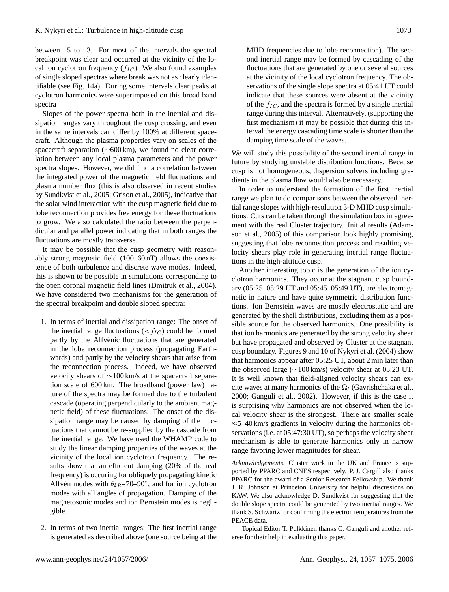between  $-5$  to  $-3$ . For most of the intervals the spectral breakpoint was clear and occurred at the vicinity of the local ion cyclotron frequency  $(f_{IC})$ . We also found examples of single sloped spectras where break was not as clearly identifiable (see Fig. 14a). During some intervals clear peaks at cyclotron harmonics were superimposed on this broad band spectra

Slopes of the power spectra both in the inertial and dissipation ranges vary throughout the cusp crossing, and even in the same intervals can differ by 100% at different spacecraft. Although the plasma properties vary on scales of the spacecraft separation (∼600 km), we found no clear correlation between any local plasma parameters and the power spectra slopes. However, we did find a correlation between the integrated power of the magnetic field fluctuations and plasma number flux (this is also observed in recent studies by Sundkvist et al., 2005; Grison et al., 2005), indicative that the solar wind interaction with the cusp magnetic field due to lobe reconnection provides free energy for these fluctuations to grow. We also calculated the ratio between the perpendicular and parallel power indicating that in both ranges the fluctuations are mostly transverse.

It may be possible that the cusp geometry with reasonably strong magnetic field (100–60 nT) allows the coexistence of both turbulence and discrete wave modes. Indeed, this is shown to be possible in simulations corresponding to the open coronal magnetic field lines (Dmitruk et al., 2004). We have considered two mechanisms for the generation of the spectral breakpoint and double sloped spectra:

- 1. In terms of inertial and dissipation range: The onset of the inertial range fluctuations ( $\langle f_{IC} \rangle$  could be formed partly by the Alfvénic fluctuations that are generated in the lobe reconnection process (propagating Earthwards) and partly by the velocity shears that arise from the reconnection process. Indeed, we have observed velocity shears of ∼100 km/s at the spacecraft separation scale of 600 km. The broadband (power law) nature of the spectra may be formed due to the turbulent cascade (operating perpendicularly to the ambient magnetic field) of these fluctuations. The onset of the dissipation range may be caused by damping of the fluctuations that cannot be re-supplied by the cascade from the inertial range. We have used the WHAMP code to study the linear damping properties of the waves at the vicinity of the local ion cyclotron frequency. The results show that an efficient damping (20% of the real frequency) is occuring for obliquely propagating kinetic Alfvén modes with  $\theta_{kB}$ =70–90°, and for ion cyclotron modes with all angles of propagation. Damping of the magnetosonic modes and ion Bernstein modes is negligible.
- 2. In terms of two inertial ranges: The first inertial range is generated as described above (one source being at the

MHD frequencies due to lobe reconnection). The second inertial range may be formed by cascading of the fluctuations that are generated by one or several sources at the vicinity of the local cyclotron frequency. The observations of the single slope spectra at 05:41 UT could indicate that these sources were absent at the vicinity of the  $f_{IC}$ , and the spectra is formed by a single inertial range during this interval. Alternatively, (supporting the first mechanism) it may be possible that during this interval the energy cascading time scale is shorter than the damping time scale of the waves.

We will study this possibility of the second inertial range in future by studying unstable distribution functions. Because cusp is not homogeneous, dispersion solvers including gradients in the plasma flow would also be necessary.

In order to understand the formation of the first inertial range we plan to do comparisons between the observed inertial range slopes with high-resolution 3-D MHD cusp simulations. Cuts can be taken through the simulation box in agreement with the real Cluster trajectory. Initial results (Adamson et al., 2005) of this comparison look highly promising, suggesting that lobe reconnection process and resulting velocity shears play role in generating inertial range fluctuations in the high-altitude cusp.

Another interesting topic is the generation of the ion cyclotron harmonics. They occur at the stagnant cusp boundary (05:25–05:29 UT and 05:45–05:49 UT), are electromagnetic in nature and have quite symmetric distribution functions. Ion Bernstein waves are mostly electrostatic and are generated by the shell distributions, excluding them as a possible source for the observed harmonics. One possibility is that ion harmonics are generated by the strong velocity shear but have propagated and observed by Cluster at the stagnant cusp boundary. Figures 9 and 10 of Nykyri et al. (2004) show that harmonics appear after 05:25 UT, about 2 min later than the observed large (∼100 km/s) velocity shear at 05:23 UT. It is well known that field-aligned velocity shears can excite waves at many harmonics of the  $\Omega_i$  (Gavrishchaka et al., 2000; Ganguli et al., 2002). However, if this is the case it is surprising why harmonics are not observed when the local velocity shear is the strongest. There are smaller scale  $\approx$  5–40 km/s gradients in velocity during the harmonics observations (i.e. at 05:47:30 UT), so perhaps the velocity shear mechanism is able to generate harmonics only in narrow range favoring lower magnitudes for shear.

*Acknowledgements.* Cluster work in the UK and France is supported by PPARC and CNES respectively. P. J. Cargill also thanks PPARC for the award of a Senior Research Fellowship. We thank J. R. Johnson at Princeton University for helpful discussions on KAW. We also acknowledge D. Sundkvist for suggesting that the double slope spectra could be generated by two inertial ranges. We thank S. Schwartz for confirming the electron temperatures from the PEACE data.

Topical Editor T. Pulkkinen thanks G. Ganguli and another referee for their help in evaluating this paper.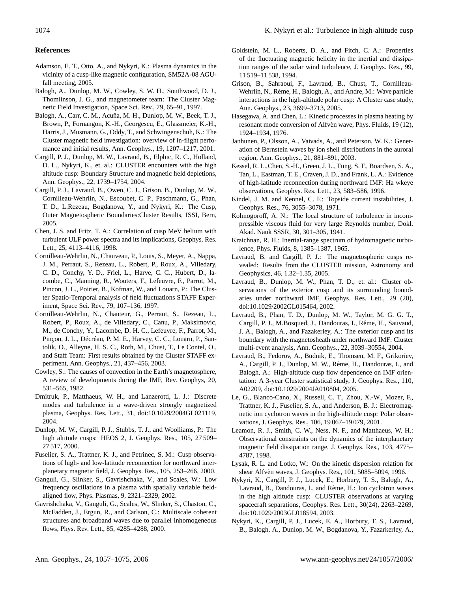## **References**

- Adamson, E. T., Otto, A., and Nykyri, K.: Plasma dynamics in the vicinity of a cusp-like magnetic configuration, SM52A-08 AGUfall meeting, 2005.
- Balogh, A., Dunlop, M. W., Cowley, S. W. H., Southwood, D. J., Thomlinson, J. G., and magnetometer team: The Cluster Magnetic Field Investigation, Space Sci. Rev., 79, 65–91, 1997.
- Balogh, A., Carr, C. M., Acuña, M. H., Dunlop, M. W., Beek, T. J., Brown, P., Fornangon, K.-H., Georgescu, E., Glassmeier, K.-H., Harris, J., Musmann, G., Oddy, T., and Schwingenschuh, K.: The Cluster magnetic field investigation: overview of in-flight perfomance and initial results, Ann. Geophys., 19, 1207–1217, 2001.
- Cargill, P. J., Dunlop, M. W., Lavraud, B., Elphic, R. C., Holland, D. L., Nykyri, K., et. al.: CLUSTER encounters with the high altitude cusp: Boundary Structure and magnetic field depletions, Ann. Geophys., 22, 1739–1754, 2004.
- Cargill, P. J., Lavraud, B., Owen, C. J., Grison, B., Dunlop, M. W., Cornilleau-Wehrlin, N., Escoubet, C. P., Paschmann, G., Phan, T. D., L.Rezeau, Bogdanova, Y., and Nykyri, K.: The Cusp, Outer Magnetospheric Boundaries:Cluster Results, ISSI, Bern, 2005.
- Chen, J. S. and Fritz, T. A.: Correlation of cusp MeV helium with turbulent ULF power spectra and its implications, Geophys. Res. Lett., 25, 4113–4116, 1998.
- Cornilleau-Wehrlin, N., Chauveau, P., Louis, S., Meyer, A., Nappa, J. M., Perraut, S., Rezeau, L., Robert, P., Roux, A., Villedary, C. D., Conchy, Y. D., Friel, L., Harve, C. C., Hubert, D., lacombe, C., Manning, R., Wouters, F., Lefeuvre, F., Parrot, M., Pincon, J. L., Poirier, B., Kofman, W., and Louarn, P.: The Cluster Spatio-Temporal analysis of field fluctuations STAFF Experiment, Space Sci. Rev., 79, 107–136, 1997.
- Cornilleau-Wehrlin, N., Chanteur, G., Perraut, S., Rezeau, L., Robert, P., Roux, A., de Villedary, C., Canu, P., Maksimovic, M., de Conchy, Y., Lacombe, D. H. C., Lefeuvre, F., Parrot, M., Pinçon, J. L., Décréau, P. M. E., Harvey, C. C., Louarn, P., Santolik, O., Alleyne, H. S. C., Roth, M., Chust, T., Le Contel, O., and Staff Team: First results obtained by the Cluster STAFF experiment, Ann. Geophys., 21, 437–456, 2003.
- Cowley, S.: The causes of convection in the Earth's magnetosphere, A review of developments during the IMF, Rev. Geophys, 20, 531–565, 1982.
- Dmitruk, P., Matthaeus, W. H., and Lanzerotti, L. J.: Discrete modes and turbulence in a wave-driven strongly magnetized plasma, Geophys. Res. Lett., 31, doi:10.1029/2004GL021119, 2004.
- Dunlop, M. W., Cargill, P. J., Stubbs, T. J., and Woolliams, P.: The high altitude cusps: HEOS 2, J. Geophys. Res., 105, 27509– 27 517, 2000.
- Fuselier, S. A., Trattner, K. J., and Petrinec, S. M.: Cusp observations of high- and low-latitude reconnection for northward interplanetary magnetic field, J. Geophys. Res., 105, 253–266, 2000.
- Ganguli, G., Slinker, S., Gavrishchaka, V., and Scales, W.: Low frequency oscillations in a plasma with spatially variable fieldaligned flow, Phys. Plasmas, 9, 2321–2329, 2002.
- Gavrishchaka, V., Ganguli, G., Scales, W., Slinker, S., Chaston, C., McFadden, J., Ergun, R., and Carlson, C.: Multiscale coherent structures and broadband waves due to parallel inhomogeneous flows, Phys. Rev. Lett., 85, 4285–4288, 2000.
- Goldstein, M. L., Roberts, D. A., and Fitch, C. A.: Properties of the fluctuating magnetic helicity in the inertial and dissipation ranges of the solar wind turbulence, J. Geophys. Res., 99, 11 519–11 538, 1994.
- Grison, B., Sahraoui, F., Lavraud, B., Chust, T., Cornilleau-Wehrlin, N., Réme, H., Balogh, A., and Andre, M.: Wave particle interactions in the high-altitude polar cusp: A Cluster case study, Ann. Geophys., 23, 3699–3713, 2005.
- Hasegawa, A. and Chen, L.: Kinetic processes in plasma heating by resonant mode conversion of Alfvén wave, Phys. Fluids, 19 (12), 1924–1934, 1976.
- Janhunen, P., Olsson, A., Vaivads, A., and Peterson, W. K.: Generation of Bernstein waves by ion shell distributions in the auroral region, Ann. Geophys., 21, 881–891, 2003.
- Kessel, R. L.,Chen, S.-H., Green, J. L., Fung, S. F., Boardsen, S. A., Tan, L., Eastman, T. E., Craven, J. D., and Frank, L. A.: Evidence of high-latitude reconnection during northward IMF: Ha wkeye observations, Geophys. Res. Lett., 23, 583–586, 1996.
- Kindel, J. M. and Kennel, C. F.: Topside current instabilities, J. Geophys. Res., 76, 3055–3078, 1971.
- Kolmogoroff, A. N.: The local structure of turbulence in incompressible viscous fluid for very large Reynolds number, Dokl. Akad. Nauk SSSR, 30, 301–305, 1941.
- Kraichnan, R. H.: Inertial-range spectrum of hydromagnetic turbulence, Phys. Fluids, 8, 1385–1387, 1965.
- Lavraud, B. and Cargill, P. J.: The magnetospheric cusps revealed: Results from the CLUSTER mission, Astronomy and Geophysics, 46, 1.32–1.35, 2005.
- Lavraud, B., Dunlop, M. W., Phan, T. D., et. al.: Cluster observations of the exterior cusp and its surrounding boundaries under northward IMF, Geophys. Res. Lett., 29 (20), doi:10.1029/2002GL015464, 2002.
- Lavraud, B., Phan, T. D., Dunlop, M. W., Taylor, M. G. G. T., Cargill, P. J., M.Bosqued, J., Dandouras, I., Réme, H., Sauvaud, J. A., Balogh, A., and Fazakerley, A.: The exterior cusp and its boundary with the magnetosheath under northward IMF: Cluster multi-event analysis, Ann. Geophys., 22, 3039–30554, 2004.
- Lavraud, B., Fedorov, A., Budnik, E., Thomsen, M. F., Grikoriev, A., Cargill, P. J., Dunlop, M. W., Réme, H., Dandouras, I., and Balogh, A.: High-altitude cusp flow dependence on IMF orientation: A 3-year Cluster statistical study, J. Geophys. Res., 110, A02209, doi:10.1029/2004JA010804, 2005.
- Le, G., Blanco-Cano, X., Russell, C. T., Zhou, X.-W., Mozer, F., Trattner, K. J., Fuselier, S. A., and Anderson, B. J.: Electromagnetic ion cyclotron waves in the high-altitude cusp: Polar observations, J. Geophys. Res., 106, 19 067–19 079, 2001.
- Leamon, R. J., Smith, C. W., Ness, N. F., and Matthaeus, W. H.: Observational constraints on the dynamics of the interplanetary magnetic field dissipation range, J. Geophys. Res., 103, 4775– 4787, 1998.
- Lysak, R. L. and Lotko, W.: On the kinetic dispersion relation for shear Alfvén waves, J. Geophys. Res., 101, 5085-5094, 1996.
- Nykyri, K., Cargill, P. J., Lucek, E., Horbury, T. S., Balogh, A., Lavraud, B., Dandouras, I., and Rème, H.: Ion cyclotron waves in the high altitude cusp: CLUSTER observations at varying spacecraft separations, Geophys. Res. Lett., 30(24), 2263–2269, doi:10.1029/2003GL018594, 2003.
- Nykyri, K., Cargill, P. J., Lucek, E. A., Horbury, T. S., Lavraud, B., Balogh, A., Dunlop, M. W., Bogdanova, Y., Fazarkerley, A.,